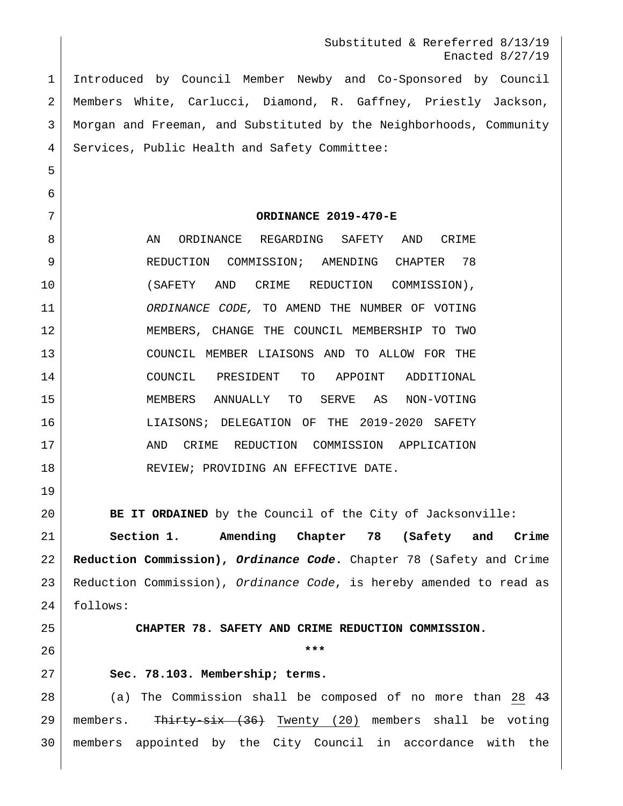Substituted & Rereferred 8/13/19 Enacted 8/27/19

 Introduced by Council Member Newby and Co-Sponsored by Council Members White, Carlucci, Diamond, R. Gaffney, Priestly Jackson, Morgan and Freeman, and Substituted by the Neighborhoods, Community Services, Public Health and Safety Committee:

**ORDINANCE 2019-470-E**

8 AN ORDINANCE REGARDING SAFETY AND CRIME 9 REDUCTION COMMISSION; AMENDING CHAPTER 78 (SAFETY AND CRIME REDUCTION COMMISSION), *ORDINANCE CODE,* TO AMEND THE NUMBER OF VOTING MEMBERS, CHANGE THE COUNCIL MEMBERSHIP TO TWO COUNCIL MEMBER LIAISONS AND TO ALLOW FOR THE COUNCIL PRESIDENT TO APPOINT ADDITIONAL MEMBERS ANNUALLY TO SERVE AS NON-VOTING LIAISONS; DELEGATION OF THE 2019-2020 SAFETY 17 AND CRIME REDUCTION COMMISSION APPLICATION 18 REVIEW; PROVIDING AN EFFECTIVE DATE.

**BE IT ORDAINED** by the Council of the City of Jacksonville:

 **Section 1. Amending Chapter 78 (Safety and Crime Reduction Commission),** *Ordinance Code***.** Chapter 78 (Safety and Crime Reduction Commission), *Ordinance Code*, is hereby amended to read as follows:

**CHAPTER 78. SAFETY AND CRIME REDUCTION COMMISSION.**

**\*\*\***

#### **Sec. 78.103. Membership; terms.**

28 (a) The Commission shall be composed of no more than 28 43 29 | members. Thirty-six (36) Twenty (20) members shall be voting members appointed by the City Council in accordance with the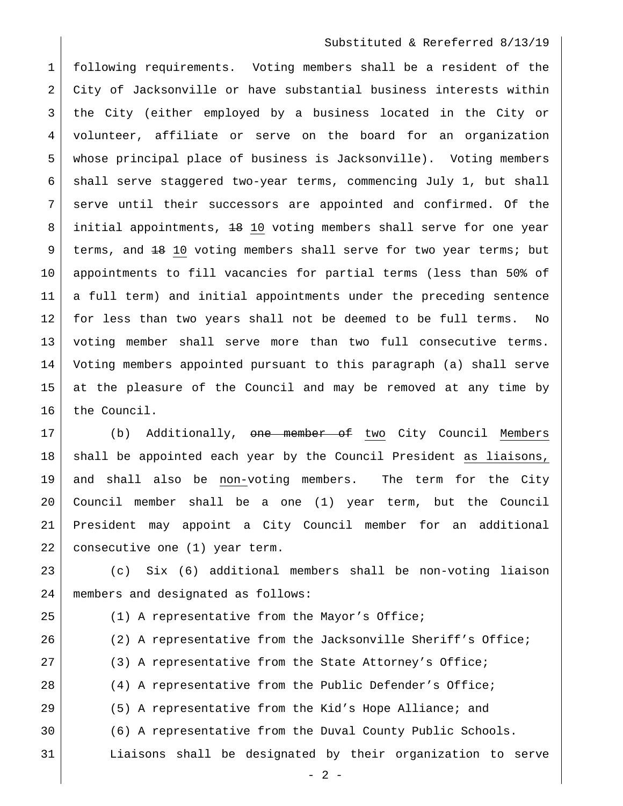#### Substituted & Rereferred 8/13/19

 following requirements. Voting members shall be a resident of the 2 City of Jacksonville or have substantial business interests within the City (either employed by a business located in the City or volunteer, affiliate or serve on the board for an organization whose principal place of business is Jacksonville). Voting members shall serve staggered two-year terms, commencing July 1, but shall serve until their successors are appointed and confirmed. Of the 8 | initial appointments, <del>18</del> 10 voting members shall serve for one year 9 | terms, and 18 10 voting members shall serve for two year terms; but appointments to fill vacancies for partial terms (less than 50% of a full term) and initial appointments under the preceding sentence for less than two years shall not be deemed to be full terms. No voting member shall serve more than two full consecutive terms. Voting members appointed pursuant to this paragraph (a) shall serve at the pleasure of the Council and may be removed at any time by 16 the Council.

17 (b) Additionally, <del>one member of</del> two City Council Members 18 | shall be appointed each year by the Council President as liaisons, and shall also be non-voting members. The term for the City Council member shall be a one (1) year term, but the Council President may appoint a City Council member for an additional 22 consecutive one (1) year term.

 (c) Six (6) additional members shall be non-voting liaison members and designated as follows:

25 (1) A representative from the Mayor's Office; (2) A representative from the Jacksonville Sheriff's Office; 27 (3) A representative from the State Attorney's Office; (4) A representative from the Public Defender's Office; (5) A representative from the Kid's Hope Alliance; and (6) A representative from the Duval County Public Schools. Liaisons shall be designated by their organization to serve

 $- 2 -$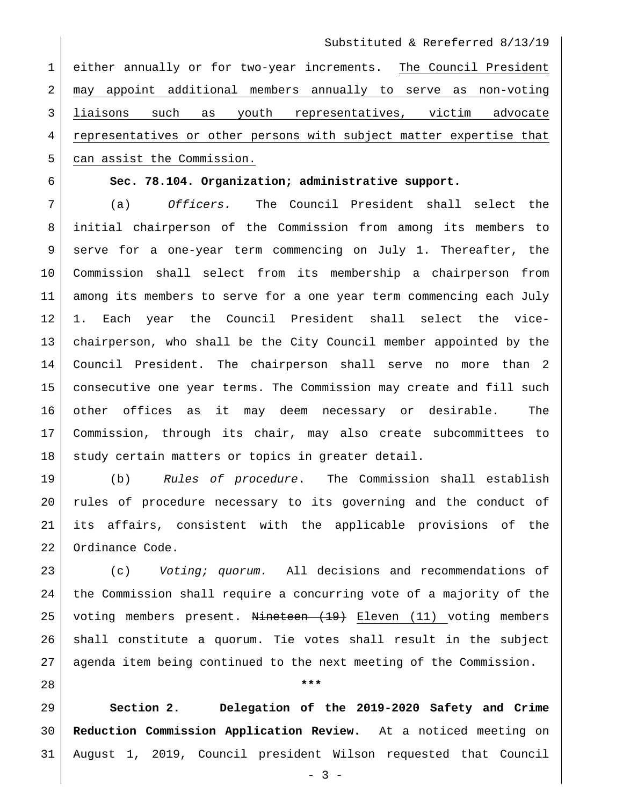Substituted & Rereferred 8/13/19

 either annually or for two-year increments. The Council President may appoint additional members annually to serve as non-voting liaisons such as youth representatives, victim advocate representatives or other persons with subject matter expertise that 5 can assist the Commission.

## **Sec. 78.104. Organization; administrative support.**

 (a) *Officers.* The Council President shall select the initial chairperson of the Commission from among its members to serve for a one-year term commencing on July 1. Thereafter, the Commission shall select from its membership a chairperson from among its members to serve for a one year term commencing each July 1. Each year the Council President shall select the vice- chairperson, who shall be the City Council member appointed by the Council President. The chairperson shall serve no more than 2 consecutive one year terms. The Commission may create and fill such other offices as it may deem necessary or desirable. The Commission, through its chair, may also create subcommittees to 18 study certain matters or topics in greater detail.

 (b) *Rules of procedure***.** The Commission shall establish rules of procedure necessary to its governing and the conduct of its affairs, consistent with the applicable provisions of the Ordinance Code.

 (c) *Voting; quorum.* All decisions and recommendations of the Commission shall require a concurring vote of a majority of the 25 voting members present. Nineteen (19) Eleven (11) voting members shall constitute a quorum. Tie votes shall result in the subject agenda item being continued to the next meeting of the Commission.

**\*\*\***

 **Section 2. Delegation of the 2019-2020 Safety and Crime Reduction Commission Application Review.** At a noticed meeting on August 1, 2019, Council president Wilson requested that Council

- 3 -